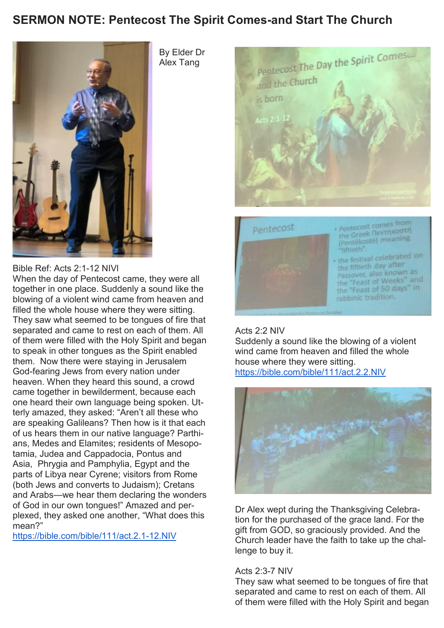## **SERMON NOTE: Pentecost The Spirit Comes-and Start The Church**



Bible Ref: Acts 2:1-12 NIVl

When the day of Pentecost came, they were all together in one place. Suddenly a sound like the blowing of a violent wind came from heaven and filled the whole house where they were sitting. They saw what seemed to be tongues of fire that separated and came to rest on each of them. All of them were filled with the Holy Spirit and began to speak in other tongues as the Spirit enabled them. Now there were staying in Jerusalem God-fearing Jews from every nation under heaven. When they heard this sound, a crowd came together in bewilderment, because each one heard their own language being spoken. Utterly amazed, they asked: "Aren't all these who are speaking Galileans? Then how is it that each of us hears them in our native language? Parthians, Medes and Elamites; residents of Mesopotamia, Judea and Cappadocia, Pontus and Asia, Phrygia and Pamphylia, Egypt and the parts of Libya near Cyrene; visitors from Rome (both Jews and converts to Judaism); Cretans and Arabs—we hear them declaring the wonders of God in our own tongues!" Amazed and perplexed, they asked one another, "What does this mean?"

<https://bible.com/bible/111/act.2.1-12.NIV>

By Elder Dr Alex Tang





### Acts 2:2 NIV

Suddenly a sound like the blowing of a violent wind came from heaven and filled the whole house where they were sitting. <https://bible.com/bible/111/act.2.2.NIV>



Dr Alex wept during the Thanksgiving Celebration for the purchased of the grace land. For the gift from GOD, so graciously provided. And the Church leader have the faith to take up the challenge to buy it.

#### Acts 2:3-7 NIV

They saw what seemed to be tongues of fire that separated and came to rest on each of them. All of them were filled with the Holy Spirit and began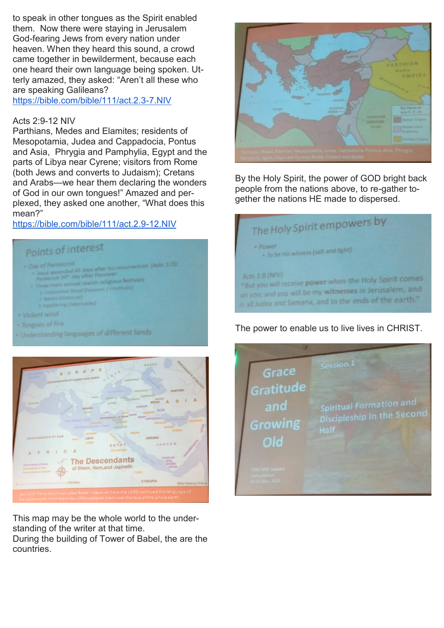to speak in other tongues as the Spirit enabled them. Now there were staying in Jerusalem God-fearing Jews from every nation under heaven. When they heard this sound, a crowd came together in bewilderment, because each one heard their own language being spoken. Utterly amazed, they asked: "Aren't all these who are speaking Galileans?

<https://bible.com/bible/111/act.2.3-7.NIV>

#### Acts 2:9-12 NIV

Parthians, Medes and Elamites; residents of Mesopotamia, Judea and Cappadocia, Pontus and Asia, Phrygia and Pamphylia, Egypt and the parts of Libya near Cyrene; visitors from Rome (both Jews and converts to Judaism); Cretans and Arabs—we hear them declaring the wonders of God in our own tongues!" Amazed and perplexed, they asked one another, "What does this mean?"

### <https://bible.com/bible/111/act.2.9-12.NIV>

# Points of interest

- / Pentecost
- wrection (Acts 1:3)
- it 50<sup>m</sup> day after Passover etecost 30 cary any and provision of the month of
- Luxeweed firest (Passover / Gratfruits)
- **Inguitaring** (Tabernarles)
- · Violent wind
- Tongues of fire
- Understanding languages of different lands



This map may be the whole world to the understanding of the writer at that time.

During the building of Tower of Babel, the are the countries.



By the Holy Spirit, the power of GOD bright back people from the nations above, to re-gather together the nations HE made to dispersed.

| The Holy Spirit empowers by                                                                                                                                                                                |
|------------------------------------------------------------------------------------------------------------------------------------------------------------------------------------------------------------|
| · Power<br>. To be His witness (salt and light)                                                                                                                                                            |
| Acts 1:8 (NIV)<br><sup>4</sup> But you will receive power when the Holy Spirit comes<br>on you; and you will be my witnesses in Jerusalem, and<br>in all Judea and Samaria, and to the ends of the earth." |

The power to enable us to live lives in CHRIST.

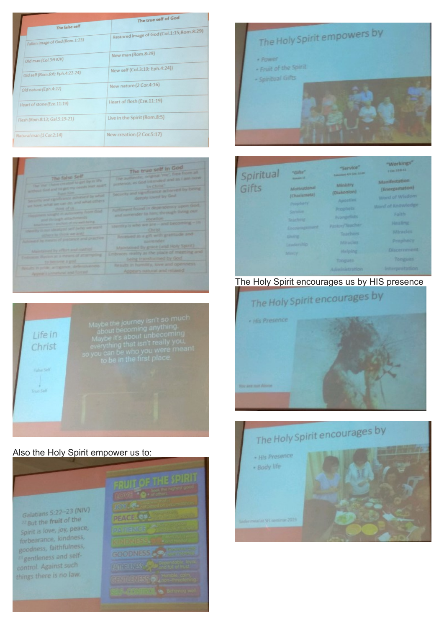| The false self<br>Fallen image of God (Rom.1:23)     | The true self of God<br>Restored image of God (Col.1:15;Rom.8:29) |
|------------------------------------------------------|-------------------------------------------------------------------|
| Old man (Col.3:9 KJV)                                | New man (Rom.8:29)                                                |
| Old self (Rom.6:6; Eph.4:22-24)                      | New self (Col.3:10; Eph.4:24))<br>New nature (2 Cor.4:16)         |
| Old nature (Eph. 4:22)<br>Heart of stone (Eze.11:19) | Heart of flesh (Eze.11:19)                                        |
| Flesh (Rom.8:13; Gal.5:19-21)                        | Live in the Spirit (Rom.8:5)                                      |
| Natural man (1 Cor.2:14)                             | New creation (2 Cor.5:17)                                         |

| The false Self                                      | The true self in God                         |
|-----------------------------------------------------|----------------------------------------------|
| The year chang created to get by in the             | The authentic, original Year', free from all |
| writers of God and his get my needs met appli-      | presence, as God interviewd and as I get now |
| <b>Carlos Score</b>                                 | <b><i>In Chest</i></b>                       |
| Security and expedicance activities fiby server.    | Security and significance achieved by being  |
| are have reliate are can do, and what crown         | deeply loved by God.                         |
| chine of us                                         | hurtlanent found in dependency upon God.     |
| Happarent script in autonomy from God               | and surrender to him, through tiving our     |
| and through attachments                             | VOCATION                                     |
| Arta Towns - anchor, of my well being               | stendity is who we are - and becoming - in   |
| sheet the control the best annual set of the second | <b>Christ</b>                                |
| echere to think we are:                             | Received as a gift with gratitude and        |
| Adventis by morning functions and practice          | <b>SUITE OCAL</b>                            |
| Meletzined by effort and control                    | Maintained by grace (and Holy Spirit)        |
| Embourns that on an a means of attempting           | Embraces reality as the place of meeting and |
| to become a god                                     | being transformed by God                     |
| firmats to print, an ogainity, deferration with     | Kesuits in humnity, love and operatiess      |
| Appears (unnatural and forced                       | Appears natural and relaxed                  |



### Also the Holy Spirit empower us to:

Galatians 5:22-23 (NIV) Galatians 3:22-23 Spirit is love, joy, peace, forbearance, kindness, for pearance,<br>goodness, faithfulness, <sup>23</sup> gentleness and selfcontrol. Against such things there is no law.





| Spiritual | "Gifts"                                                                                                                                | "Service"                                                                                                                                           | "Workings"                                                                                                                                                |
|-----------|----------------------------------------------------------------------------------------------------------------------------------------|-----------------------------------------------------------------------------------------------------------------------------------------------------|-----------------------------------------------------------------------------------------------------------------------------------------------------------|
|           | <b>School 31</b>                                                                                                                       | <b>Columnist AV, Car 14 IA</b>                                                                                                                      | I OIL SER SE                                                                                                                                              |
| Gifts     | Motivational<br>(Charismata)<br>Prophety<br>Service<br><b>Teaching</b><br>Encouragement<br><b>Giving</b><br>Leaderthip<br><b>Morcy</b> | <b>Ministry</b><br>(Diakonion)<br>Apostles<br>Prophets<br><b>Evangelists</b><br>Pastor/Teacher<br>Teachers<br>Miracles<br><b>Halping</b><br>Tongues | Manifestation<br>(Energiamaton)<br>Word of Wisdom<br>Word of Knowledge<br>Forth<br><b>Haaling</b><br>Mirades<br>Prophecy<br><b>Discernment</b><br>Tongues |

## The Holy Spirit encourages us by HIS presence

![](_page_2_Picture_9.jpeg)

![](_page_2_Picture_10.jpeg)